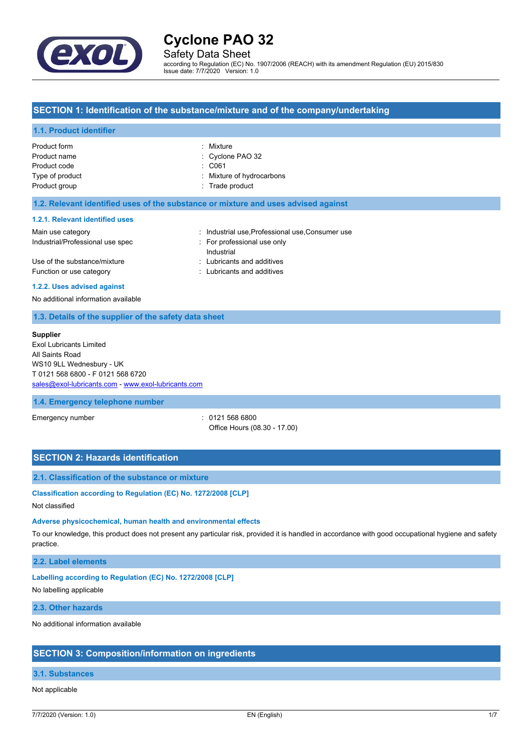

Safety Data Sheet

according to Regulation (EC) No. 1907/2006 (REACH) with its amendment Regulation (EU) 2015/830 Issue date: 7/7/2020 Version: 1.0

# **SECTION 1: Identification of the substance/mixture and of the company/undertaking**

#### **1.1. Product identifier**

| Product form    | : Mixture                 |
|-----------------|---------------------------|
| Product name    | : Cyclone PAO 32          |
| Product code    | $\therefore$ C061         |
| Type of product | : Mixture of hydrocarbons |
| Product group   | : Trade product           |
|                 |                           |

#### **1.2. Relevant identified uses of the substance or mixture and uses advised against**

#### **1.2.1. Relevant identified uses**

| Main use category                | : Industrial use Professional use Consumer use |
|----------------------------------|------------------------------------------------|
| Industrial/Professional use spec | For professional use only                      |
|                                  | Industrial                                     |
| Use of the substance/mixture     | : Lubricants and additives                     |
| Function or use category         | : Lubricants and additives                     |
|                                  |                                                |

#### **1.2.2. Uses advised against**

No additional information available

### **1.3. Details of the supplier of the safety data sheet**

#### **Supplier**

Exol Lubricants Limited All Saints Road WS10 9LL Wednesbury - UK T 0121 568 6800 - F 0121 568 6720 [sales@exol-lubricants.com](mailto:sales@exol-lubricants.com) - <www.exol-lubricants.com>

#### **1.4. Emergency telephone number**

Emergency number : 0121 568 6800 Office Hours (08.30 - 17.00)

# **SECTION 2: Hazards identification**

### **2.1. Classification of the substance or mixture**

#### **Classification according to Regulation (EC) No. 1272/2008 [CLP]**

Not classified

### **Adverse physicochemical, human health and environmental effects**

To our knowledge, this product does not present any particular risk, provided it is handled in accordance with good occupational hygiene and safety practice.

#### **2.2. Label elements**

#### **Labelling according to Regulation (EC) No. 1272/2008 [CLP]**

No labelling applicable

#### **2.3. Other hazards**

No additional information available

#### **SECTION 3: Composition/information on ingredients**

# **3.1. Substances**

### Not applicable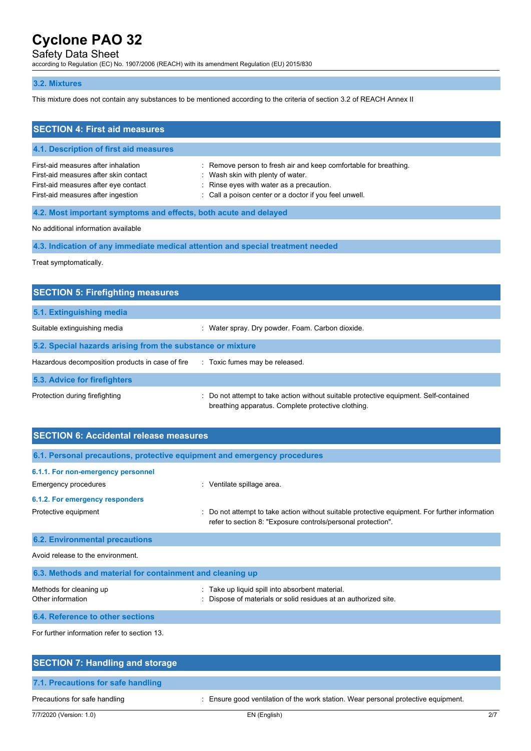# Safety Data Sheet

according to Regulation (EC) No. 1907/2006 (REACH) with its amendment Regulation (EU) 2015/830

### **3.2. Mixtures**

This mixture does not contain any substances to be mentioned according to the criteria of section 3.2 of REACH Annex II

| <b>SECTION 4: First aid measures</b>                                                                                                                       |                                                                                                                                                                                                             |  |
|------------------------------------------------------------------------------------------------------------------------------------------------------------|-------------------------------------------------------------------------------------------------------------------------------------------------------------------------------------------------------------|--|
| 4.1. Description of first aid measures                                                                                                                     |                                                                                                                                                                                                             |  |
| First-aid measures after inhalation<br>First-aid measures after skin contact<br>First-aid measures after eye contact<br>First-aid measures after ingestion | : Remove person to fresh air and keep comfortable for breathing.<br>: Wash skin with plenty of water.<br>: Rinse eyes with water as a precaution.<br>: Call a poison center or a doctor if you feel unwell. |  |
| 4.2. Most important symptoms and effects, both acute and delayed                                                                                           |                                                                                                                                                                                                             |  |

No additional information available

**4.3. Indication of any immediate medical attention and special treatment needed**

Treat symptomatically.

| <b>SECTION 5: Firefighting measures</b>                    |                                                                                                                                             |  |  |  |
|------------------------------------------------------------|---------------------------------------------------------------------------------------------------------------------------------------------|--|--|--|
| 5.1. Extinguishing media                                   |                                                                                                                                             |  |  |  |
| Suitable extinguishing media                               | : Water spray. Dry powder. Foam. Carbon dioxide.                                                                                            |  |  |  |
| 5.2. Special hazards arising from the substance or mixture |                                                                                                                                             |  |  |  |
| Hazardous decomposition products in case of fire           | : Toxic fumes may be released.                                                                                                              |  |  |  |
| 5.3. Advice for firefighters                               |                                                                                                                                             |  |  |  |
| Protection during firefighting                             | : Do not attempt to take action without suitable protective equipment. Self-contained<br>breathing apparatus. Complete protective clothing. |  |  |  |

| <b>SECTION 6: Accidental release measures</b>                            |                                                                                                                                                              |  |  |
|--------------------------------------------------------------------------|--------------------------------------------------------------------------------------------------------------------------------------------------------------|--|--|
| 6.1. Personal precautions, protective equipment and emergency procedures |                                                                                                                                                              |  |  |
| 6.1.1. For non-emergency personnel<br>Emergency procedures               | : Ventilate spillage area.                                                                                                                                   |  |  |
| 6.1.2. For emergency responders                                          |                                                                                                                                                              |  |  |
| Protective equipment                                                     | Do not attempt to take action without suitable protective equipment. For further information<br>refer to section 8: "Exposure controls/personal protection". |  |  |
| <b>6.2. Environmental precautions</b>                                    |                                                                                                                                                              |  |  |
| Avoid release to the environment.                                        |                                                                                                                                                              |  |  |
| 6.3. Methods and material for containment and cleaning up                |                                                                                                                                                              |  |  |
| Methods for cleaning up<br>Other information                             | : Take up liquid spill into absorbent material.<br>Dispose of materials or solid residues at an authorized site.                                             |  |  |
| 6.4. Reference to other sections                                         |                                                                                                                                                              |  |  |
|                                                                          |                                                                                                                                                              |  |  |

For further information refer to section 13.

| <b>SECTION 7: Handling and storage</b> |                                                                                    |     |
|----------------------------------------|------------------------------------------------------------------------------------|-----|
| 7.1. Precautions for safe handling     |                                                                                    |     |
| Precautions for safe handling          | : Ensure good ventilation of the work station. Wear personal protective equipment. |     |
| 7/7/2020 (Version: 1.0)                | EN (English)                                                                       | 2/7 |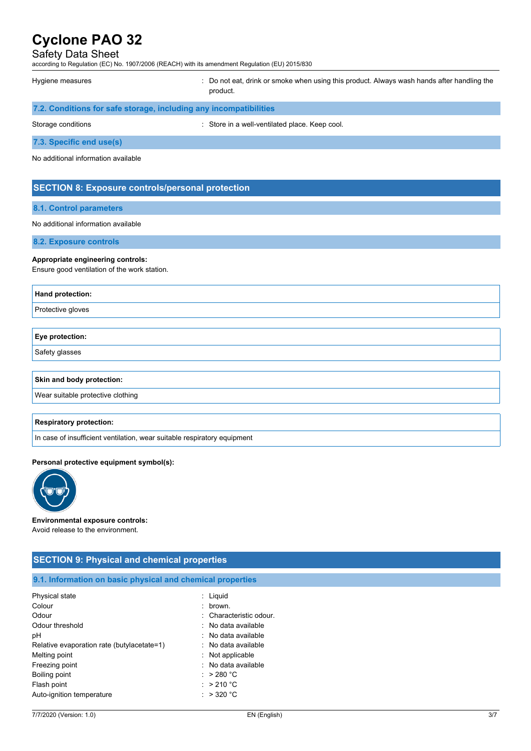## Safety Data Sheet

according to Regulation (EC) No. 1907/2006 (REACH) with its amendment Regulation (EU) 2015/830

Hygiene measures **included in the state of the state of the state of the state of the state of the state of the state of the state of the state of the state of the state of the state of the state of the state of the state** product.

|  | 7.2. Conditions for safe storage, including any incompatibilities |  |
|--|-------------------------------------------------------------------|--|
|--|-------------------------------------------------------------------|--|

Storage conditions **Storage conditions** : Store in a well-ventilated place. Keep cool.

**7.3. Specific end use(s)**

No additional information available

# **SECTION 8: Exposure controls/personal protection**

#### **8.1. Control parameters**

#### No additional information available

**8.2. Exposure controls**

#### **Appropriate engineering controls:**

Ensure good ventilation of the work station.

| Hand protection:          |  |
|---------------------------|--|
| Protective gloves         |  |
|                           |  |
| Eye protection:           |  |
| Safety glasses            |  |
|                           |  |
| Skin and body protection: |  |

Wear suitable protective clothing

#### **Respiratory protection:**

In case of insufficient ventilation, wear suitable respiratory equipment

#### **Personal protective equipment symbol(s):**



#### **Environmental exposure controls:** Avoid release to the environment.

# **SECTION 9: Physical and chemical properties 9.1. Information on basic physical and chemical properties** Physical state : Liquid Colour : brown. Odour : Characteristic odour. Odour threshold **Download COLLEGE 1.1 COLLEGE 1.1 COLLEGE 1.1 COLLEGE 1.1 COLLEGE 1.1 COLLEGE 1.1 COLLEGE 1.1 COLLEGE 1.1 COLLEGE 1.1 COLLEGE 1.1 COLLEGE 1.1 COLLEGE 1.1 COLLEGE 1.1 COLLEGE 1.1 COLLEGE 1.1 COLLEGE 1.1 CO** pH : No data available Relative evaporation rate (butylacetate=1) : No data available Melting point **in the contract of the Contract of the Contract of the Contract of the Contract of the Contract of the Contract of the Contract of the Contract of the Contract of the Contract of the Contract of the Contract** Freezing point **in the case of the case of the case of the case of the case of the case of the case of the case of the case of the case of the case of the case of the case of the case of the case of the case of the case of** Boiling point : > 280 °C Flash point : > 210 °C Auto-ignition temperature in the same state of the state of the state of the state of the state of the state of the state of the state of the state of the state of the state of the state of the state of the state of the st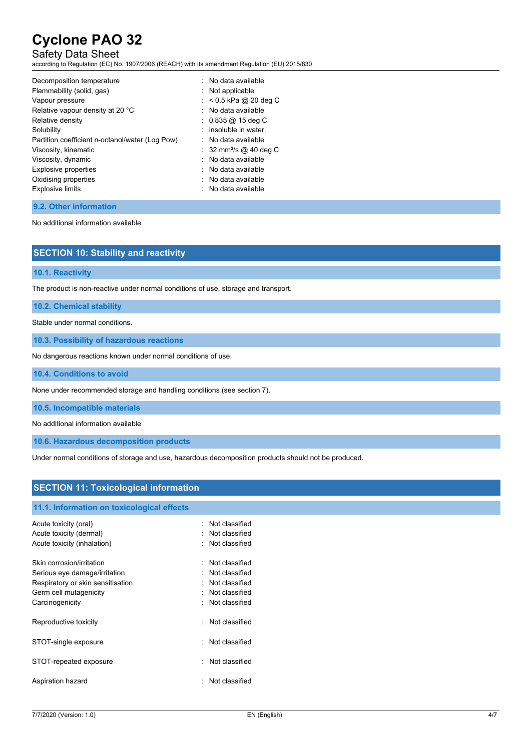# Safety Data Sheet

according to Regulation (EC) No. 1907/2006 (REACH) with its amendment Regulation (EU) 2015/830

| Decomposition temperature                       | : No data available                |
|-------------------------------------------------|------------------------------------|
| Flammability (solid, gas)                       | $:$ Not applicable                 |
| Vapour pressure                                 | $:$ < 0.5 kPa @ 20 deg C           |
| Relative vapour density at 20 °C                | : No data available                |
| Relative density                                | $: 0.835 \omega 15$ deg C          |
| Solubility                                      | : insoluble in water.              |
| Partition coefficient n-octanol/water (Log Pow) | $:$ No data available              |
| Viscosity, kinematic                            | : 32 mm <sup>2</sup> /s @ 40 deg C |
| Viscosity, dynamic                              | : No data available                |
| Explosive properties                            | $:$ No data available              |
| Oxidising properties                            | . No data available                |
| <b>Explosive limits</b>                         | $:$ No data available              |
|                                                 |                                    |

#### **9.2. Other information**

No additional information available

| <b>SECTION 10: Stability and reactivity</b>                                        |
|------------------------------------------------------------------------------------|
|                                                                                    |
| <b>10.1. Reactivity</b>                                                            |
| The product is non-reactive under normal conditions of use, storage and transport. |

**10.2. Chemical stability**

**10.1. Reactivity**

Stable under normal conditions.

**10.3. Possibility of hazardous reactions**

No dangerous reactions known under normal conditions of use.

**10.4. Conditions to avoid**

None under recommended storage and handling conditions (see section 7).

**10.5. Incompatible materials**

No additional information available

**10.6. Hazardous decomposition products**

Under normal conditions of storage and use, hazardous decomposition products should not be produced.

# **SECTION 11: Toxicological information 11.1. Information on toxicological effects** Acute toxicity (oral) **Example 2** Constant Constant Constant Constant Constant Constant Constant Constant Constant Acute toxicity (dermal) **Example 20** Acute toxicity (dermal) Acute toxicity (inhalation) : Not classified

| Skin corrosion/irritation         | Not classified   |
|-----------------------------------|------------------|
| Serious eye damage/irritation     | : Not classified |
| Respiratory or skin sensitisation | : Not classified |
| Germ cell mutagenicity            | Not classified   |
| Carcinogenicity                   | : Not classified |
| Reproductive toxicity             | Not classified   |
| STOT-single exposure              | Not classified   |
| STOT-repeated exposure            | : Not classified |
| Aspiration hazard                 | : Not classified |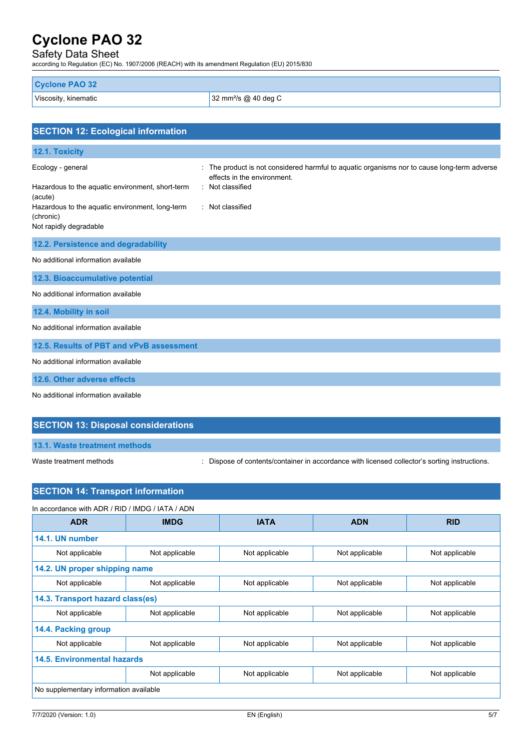# Safety Data Sheet

according to Regulation (EC) No. 1907/2006 (REACH) with its amendment Regulation (EU) 2015/830

| <b>Cyclone PAO 32</b> |                                  |
|-----------------------|----------------------------------|
| Viscosity, kinematic  | 32 mm <sup>2</sup> /s @ 40 deg C |

| <b>SECTION 12: Ecological information</b>                                              |                                                                                                                                              |
|----------------------------------------------------------------------------------------|----------------------------------------------------------------------------------------------------------------------------------------------|
| 12.1. Toxicity                                                                         |                                                                                                                                              |
| Ecology - general<br>Hazardous to the aquatic environment, short-term                  | The product is not considered harmful to aquatic organisms nor to cause long-term adverse<br>effects in the environment.<br>: Not classified |
| (acute)                                                                                |                                                                                                                                              |
| Hazardous to the aquatic environment, long-term<br>(chronic)<br>Not rapidly degradable | : Not classified                                                                                                                             |
| 12.2. Persistence and degradability                                                    |                                                                                                                                              |
| No additional information available                                                    |                                                                                                                                              |
| 12.3. Bioaccumulative potential                                                        |                                                                                                                                              |
| No additional information available                                                    |                                                                                                                                              |
| 12.4. Mobility in soil                                                                 |                                                                                                                                              |
| No additional information available                                                    |                                                                                                                                              |
| 12.5. Results of PBT and vPvB assessment                                               |                                                                                                                                              |
| No additional information available                                                    |                                                                                                                                              |
| 12.6. Other adverse effects                                                            |                                                                                                                                              |
| No additional information available                                                    |                                                                                                                                              |

# **SECTION 13: Disposal considerations**

**13.1. Waste treatment methods**

Waste treatment methods : Dispose of contents/container in accordance with licensed collector's sorting instructions.

| In accordance with ADR / RID / IMDG / IATA / ADN |                |                |                |                |
|--------------------------------------------------|----------------|----------------|----------------|----------------|
| <b>ADR</b>                                       | <b>IMDG</b>    | <b>IATA</b>    | <b>ADN</b>     | <b>RID</b>     |
| 14.1. UN number                                  |                |                |                |                |
| Not applicable                                   | Not applicable | Not applicable | Not applicable | Not applicable |
| 14.2. UN proper shipping name                    |                |                |                |                |
| Not applicable                                   | Not applicable | Not applicable | Not applicable | Not applicable |
| 14.3. Transport hazard class(es)                 |                |                |                |                |
| Not applicable                                   | Not applicable | Not applicable | Not applicable | Not applicable |
| 14.4. Packing group                              |                |                |                |                |
| Not applicable                                   | Not applicable | Not applicable | Not applicable | Not applicable |
| 14.5. Environmental hazards                      |                |                |                |                |
|                                                  | Not applicable | Not applicable | Not applicable | Not applicable |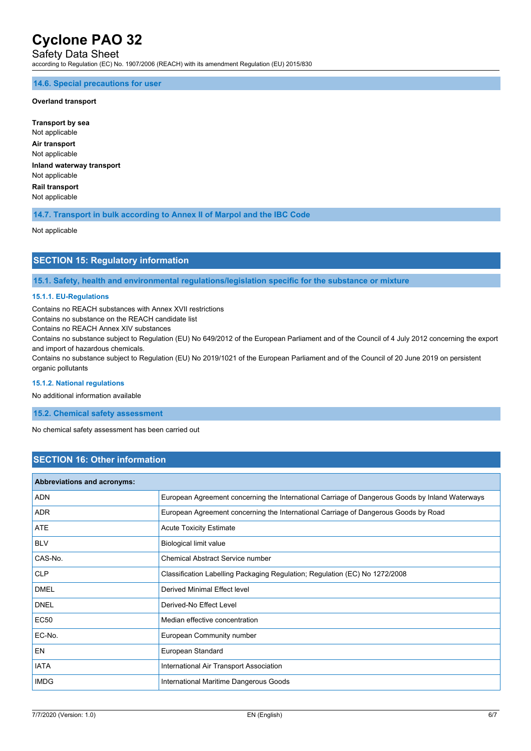Safety Data Sheet

according to Regulation (EC) No. 1907/2006 (REACH) with its amendment Regulation (EU) 2015/830

#### **14.6. Special precautions for user**

### **Overland transport**

**Transport by sea** Not applicable **Air transport** Not applicable **Inland waterway transport** Not applicable **Rail transport** Not applicable

**14.7. Transport in bulk according to Annex II of Marpol and the IBC Code**

Not applicable

# **SECTION 15: Regulatory information**

**15.1. Safety, health and environmental regulations/legislation specific for the substance or mixture**

#### **15.1.1. EU-Regulations**

Contains no REACH substances with Annex XVII restrictions

Contains no substance on the REACH candidate list

Contains no REACH Annex XIV substances

Contains no substance subject to Regulation (EU) No 649/2012 of the European Parliament and of the Council of 4 July 2012 concerning the export and import of hazardous chemicals.

Contains no substance subject to Regulation (EU) No 2019/1021 of the European Parliament and of the Council of 20 June 2019 on persistent organic pollutants

#### **15.1.2. National regulations**

No additional information available

**15.2. Chemical safety assessment**

No chemical safety assessment has been carried out

## **SECTION 16: Other information**

| <b>Abbreviations and acronyms:</b> |                                                                                                 |
|------------------------------------|-------------------------------------------------------------------------------------------------|
| <b>ADN</b>                         | European Agreement concerning the International Carriage of Dangerous Goods by Inland Waterways |
| <b>ADR</b>                         | European Agreement concerning the International Carriage of Dangerous Goods by Road             |
| ATE                                | <b>Acute Toxicity Estimate</b>                                                                  |
| <b>BLV</b>                         | Biological limit value                                                                          |
| CAS-No.                            | <b>Chemical Abstract Service number</b>                                                         |
| <b>CLP</b>                         | Classification Labelling Packaging Regulation; Regulation (EC) No 1272/2008                     |
| <b>DMEL</b>                        | Derived Minimal Effect level                                                                    |
| <b>DNEL</b>                        | Derived-No Effect Level                                                                         |
| <b>EC50</b>                        | Median effective concentration                                                                  |
| EC-No.                             | European Community number                                                                       |
| EN                                 | European Standard                                                                               |
| <b>IATA</b>                        | International Air Transport Association                                                         |
| <b>IMDG</b>                        | International Maritime Dangerous Goods                                                          |